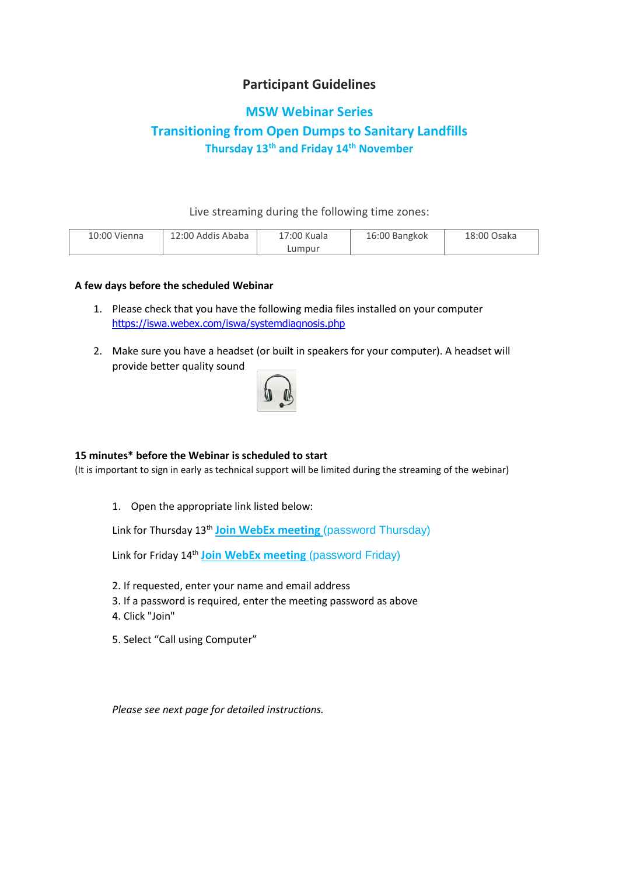## **Participant Guidelines**

### **MSW Webinar Series**

# **Transitioning from Open Dumps to Sanitary Landfills Thursday 13th and Friday 14th November**

Live streaming during the following time zones:

| 10:00 Vienna | 12:00 Addis Ababa | 17:00 Kuala | 16:00 Bangkok | 18:00 Osaka |
|--------------|-------------------|-------------|---------------|-------------|
|              |                   | Lumpur      |               |             |

### **A few days before the scheduled Webinar**

- 1. Please check that you have the following media files installed on your computer <https://iswa.webex.com/iswa/systemdiagnosis.php>
- 2. Make sure you have a headset (or built in speakers for your computer). A headset will provide better quality sound



#### **15 minutes\* before the Webinar is scheduled to start**

(It is important to sign in early as technical support will be limited during the streaming of the webinar)

1. Open the appropriate link listed below:

Link for Thursday 13th **[Join WebEx meeting](https://iswa.webex.com/iswa/j.php?MTID=mb16921773710ee9b01b34c5ea1b181b2)** (password Thursday)

Link for Friday 14th **[Join WebEx meeting](https://iswa.webex.com/iswa/j.php?MTID=m77ee0d440f28c5495b85c24d9897e85e)** (password Friday)

- 2. If requested, enter your name and email address
- 3. If a password is required, enter the meeting password as above
- 4. Click "Join"
- 5. Select "Call using Computer"

*Please see next page for detailed instructions.*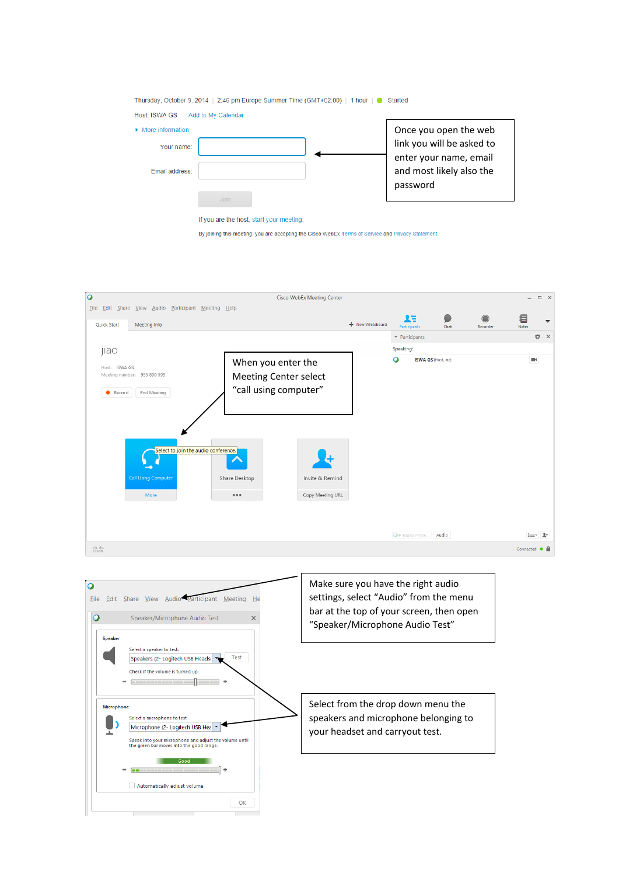

By joining this meeting, you are accepting the Cisco WebEx Terms of Service and Privacy Statement.



 $\overline{\phantom{a}}$  Good

Automatically adjust volume

 $-$  000  $-$ 

 $\equiv$  +

 $\alpha$